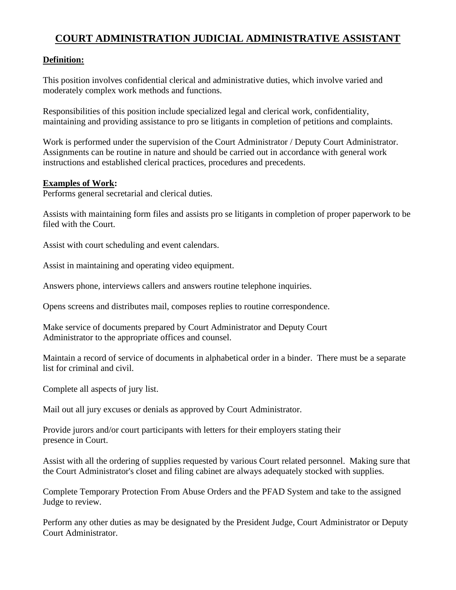# **COURT ADMINISTRATION JUDICIAL ADMINISTRATIVE ASSISTANT**

## **Definition:**

This position involves confidential clerical and administrative duties, which involve varied and moderately complex work methods and functions.

Responsibilities of this position include specialized legal and clerical work, confidentiality, maintaining and providing assistance to pro se litigants in completion of petitions and complaints.

Work is performed under the supervision of the Court Administrator / Deputy Court Administrator. Assignments can be routine in nature and should be carried out in accordance with general work instructions and established clerical practices, procedures and precedents.

#### **Examples of Work:**

Performs general secretarial and clerical duties.

Assists with maintaining form files and assists pro se litigants in completion of proper paperwork to be filed with the Court.

Assist with court scheduling and event calendars.

Assist in maintaining and operating video equipment.

Answers phone, interviews callers and answers routine telephone inquiries.

Opens screens and distributes mail, composes replies to routine correspondence.

Make service of documents prepared by Court Administrator and Deputy Court Administrator to the appropriate offices and counsel.

Maintain a record of service of documents in alphabetical order in a binder. There must be a separate list for criminal and civil.

Complete all aspects of jury list.

Mail out all jury excuses or denials as approved by Court Administrator.

Provide jurors and/or court participants with letters for their employers stating their presence in Court.

Assist with all the ordering of supplies requested by various Court related personnel. Making sure that the Court Administrator's closet and filing cabinet are always adequately stocked with supplies.

Complete Temporary Protection From Abuse Orders and the PFAD System and take to the assigned Judge to review.

Perform any other duties as may be designated by the President Judge, Court Administrator or Deputy Court Administrator.